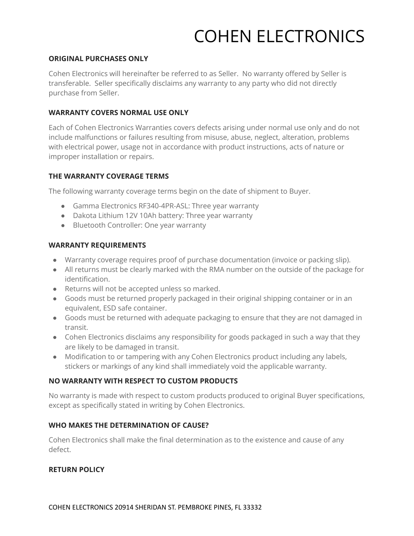## COHEN ELECTRONICS

### **ORIGINAL PURCHASES ONLY**

Cohen Electronics will hereinafter be referred to as Seller. No warranty offered by Seller is transferable. Seller specifically disclaims any warranty to any party who did not directly purchase from Seller.

### **WARRANTY COVERS NORMAL USE ONLY**

Each of Cohen Electronics Warranties covers defects arising under normal use only and do not include malfunctions or failures resulting from misuse, abuse, neglect, alteration, problems with electrical power, usage not in accordance with product instructions, acts of nature or improper installation or repairs.

## **THE WARRANTY COVERAGE TERMS**

The following warranty coverage terms begin on the date of shipment to Buyer.

- Gamma Electronics RF340-4PR-ASL: Three year warranty
- Dakota Lithium 12V 10Ah battery: Three year warranty
- Bluetooth Controller: One year warranty

### **WARRANTY REQUIREMENTS**

- Warranty coverage requires proof of purchase documentation (invoice or packing slip).
- All returns must be clearly marked with the RMA number on the outside of the package for identification.
- Returns will not be accepted unless so marked.
- Goods must be returned properly packaged in their original shipping container or in an equivalent, ESD safe container.
- Goods must be returned with adequate packaging to ensure that they are not damaged in transit.
- Cohen Electronics disclaims any responsibility for goods packaged in such a way that they are likely to be damaged in transit.
- Modification to or tampering with any Cohen Electronics product including any labels, stickers or markings of any kind shall immediately void the applicable warranty.

## **NO WARRANTY WITH RESPECT TO CUSTOM PRODUCTS**

No warranty is made with respect to custom products produced to original Buyer specifications, except as specifically stated in writing by Cohen Electronics.

#### **WHO MAKES THE DETERMINATION OF CAUSE?**

Cohen Electronics shall make the final determination as to the existence and cause of any defect.

#### **RETURN POLICY**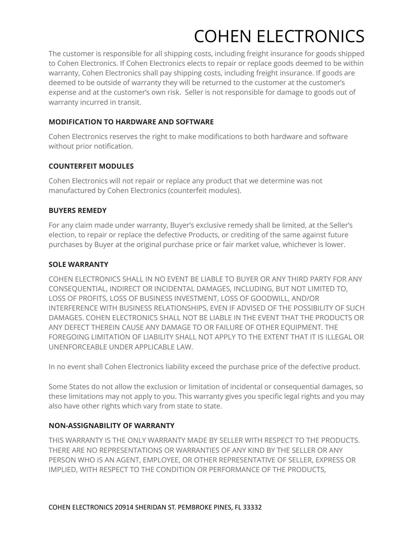# COHEN ELECTRONICS

The customer is responsible for all shipping costs, including freight insurance for goods shipped to Cohen Electronics. If Cohen Electronics elects to repair or replace goods deemed to be within warranty, Cohen Electronics shall pay shipping costs, including freight insurance. If goods are deemed to be outside of warranty they will be returned to the customer at the customer's expense and at the customer's own risk. Seller is not responsible for damage to goods out of warranty incurred in transit.

## **MODIFICATION TO HARDWARE AND SOFTWARE**

Cohen Electronics reserves the right to make modifications to both hardware and software without prior notification.

## **COUNTERFEIT MODULES**

Cohen Electronics will not repair or replace any product that we determine was not manufactured by Cohen Electronics (counterfeit modules).

### **BUYERS REMEDY**

For any claim made under warranty, Buyer's exclusive remedy shall be limited, at the Seller's election, to repair or replace the defective Products, or crediting of the same against future purchases by Buyer at the original purchase price or fair market value, whichever is lower.

### **SOLE WARRANTY**

COHEN ELECTRONICS SHALL IN NO EVENT BE LIABLE TO BUYER OR ANY THIRD PARTY FOR ANY CONSEQUENTIAL, INDIRECT OR INCIDENTAL DAMAGES, INCLUDING, BUT NOT LIMITED TO, LOSS OF PROFITS, LOSS OF BUSINESS INVESTMENT, LOSS OF GOODWILL, AND/OR INTERFERENCE WITH BUSINESS RELATIONSHIPS, EVEN IF ADVISED OF THE POSSIBILITY OF SUCH DAMAGES. COHEN ELECTRONICS SHALL NOT BE LIABLE IN THE EVENT THAT THE PRODUCTS OR ANY DEFECT THEREIN CAUSE ANY DAMAGE TO OR FAILURE OF OTHER EQUIPMENT. THE FOREGOING LIMITATION OF LIABILITY SHALL NOT APPLY TO THE EXTENT THAT IT IS ILLEGAL OR UNENFORCEABLE UNDER APPLICABLE LAW.

In no event shall Cohen Electronics liability exceed the purchase price of the defective product.

Some States do not allow the exclusion or limitation of incidental or consequential damages, so these limitations may not apply to you. This warranty gives you specific legal rights and you may also have other rights which vary from state to state.

## **NON-ASSIGNABILITY OF WARRANTY**

THIS WARRANTY IS THE ONLY WARRANTY MADE BY SELLER WITH RESPECT TO THE PRODUCTS. THERE ARE NO REPRESENTATIONS OR WARRANTIES OF ANY KIND BY THE SELLER OR ANY PERSON WHO IS AN AGENT, EMPLOYEE, OR OTHER REPRESENTATIVE OF SELLER, EXPRESS OR IMPLIED, WITH RESPECT TO THE CONDITION OR PERFORMANCE OF THE PRODUCTS,